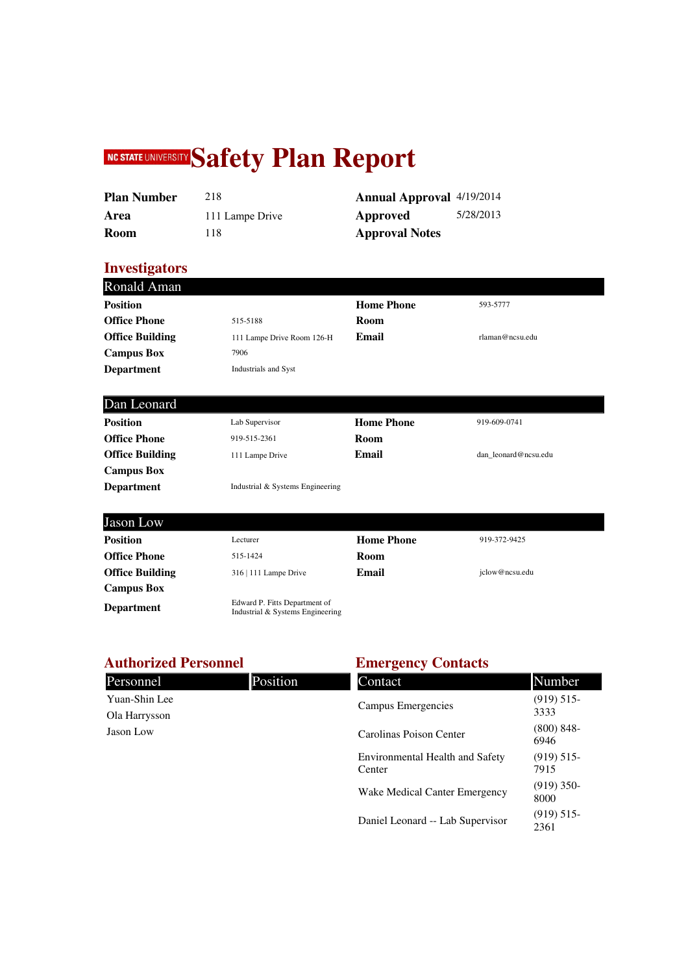# **NC STATE UNIVERSITY Safety Plan Report**

| <b>Plan Number</b> | 218             | <b>Annual Approva</b> |
|--------------------|-----------------|-----------------------|
| Area               | 111 Lampe Drive | Approved              |
| Room               | 118             | <b>Approval Notes</b> |

**Annual Approval** 4/19/2014 **Approved** 5/28/2013

#### **Investigators**

|                                  | <b>Home Phone</b> | 593-5777             |
|----------------------------------|-------------------|----------------------|
| 515-5188                         | Room              |                      |
| 111 Lampe Drive Room 126-H       | Email             | rlaman@ncsu.edu      |
| 7906                             |                   |                      |
| <b>Industrials and Syst</b>      |                   |                      |
|                                  |                   |                      |
| Lab Supervisor                   | <b>Home Phone</b> | 919-609-0741         |
| 919-515-2361                     | Room              |                      |
| 111 Lampe Drive                  | Email             | dan leonard@ncsu.edu |
|                                  |                   |                      |
| Industrial & Systems Engineering |                   |                      |
|                                  |                   |                      |
| Lecturer                         | <b>Home Phone</b> | 919-372-9425         |
| 515-1424                         | Room              |                      |
| 316   111 Lampe Drive            | Email             | jclow@ncsu.edu       |
|                                  |                   |                      |
|                                  |                   |                      |

#### **Authorized Personnel**

**Department** Edward P. Fitts Department of Industrial & Systems Engineering

| <b>Authorized Personnel</b> |          | <b>Emergency Contacts</b>                        |                       |  |
|-----------------------------|----------|--------------------------------------------------|-----------------------|--|
| Personnel                   | Position | Contact                                          | Number                |  |
| Yuan-Shin Lee               |          | Campus Emergencies                               | (919) 515             |  |
| Ola Harrysson               |          |                                                  | 3333                  |  |
| Jason Low                   |          | Carolinas Poison Center                          | $(800) 848 -$<br>6946 |  |
|                             |          | <b>Environmental Health and Safety</b><br>Center | (919) 515<br>7915     |  |
|                             |          | Wake Medical Canter Emergency                    | $(919)$ 350-<br>8000  |  |

Daniel Leonard -- Lab Supervisor (919) 515- 2361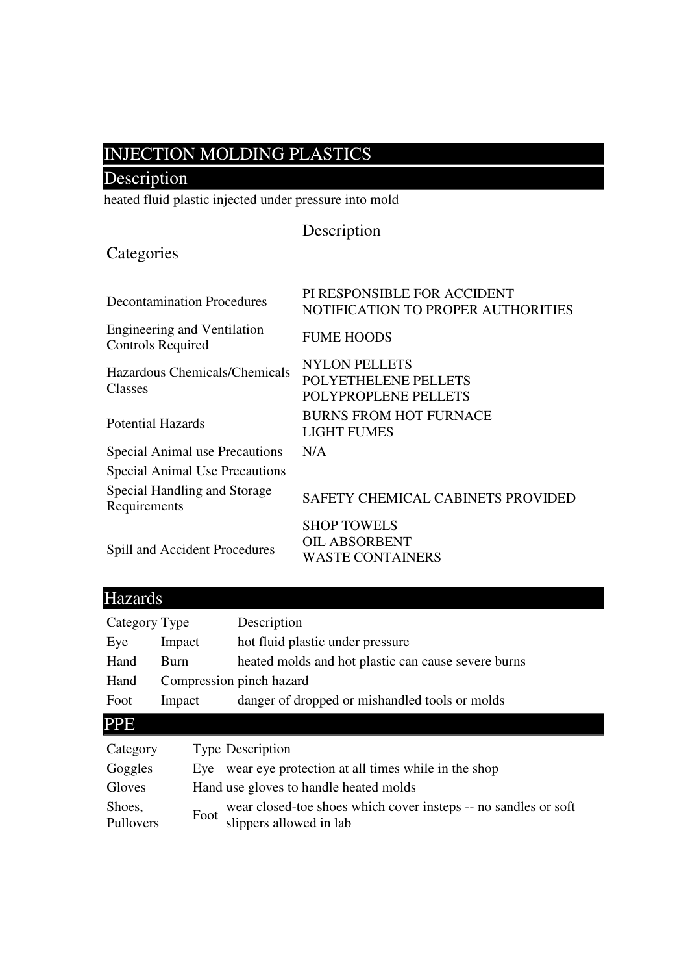## INJECTION MOLDING PLASTICS

## Description

heated fluid plastic injected under pressure into mold

| Description |  |
|-------------|--|
|             |  |

## **Categories**

| <b>Decontamination Procedures</b>                              | PI RESPONSIBLE FOR ACCIDENT<br>NOTIFICATION TO PROPER AUTHORITIES     |
|----------------------------------------------------------------|-----------------------------------------------------------------------|
| <b>Engineering and Ventilation</b><br><b>Controls Required</b> | <b>FUME HOODS</b>                                                     |
| Hazardous Chemicals/Chemicals<br>Classes                       | <b>NYLON PELLETS</b><br>POLYETHELENE PELLETS<br>POLYPROPLENE PELLETS  |
| Potential Hazards                                              | <b>BURNS FROM HOT FURNACE</b><br><b>LIGHT FUMES</b>                   |
| <b>Special Animal use Precautions</b>                          | N/A                                                                   |
| <b>Special Animal Use Precautions</b>                          |                                                                       |
| Special Handling and Storage<br>Requirements                   | SAFETY CHEMICAL CABINETS PROVIDED                                     |
| <b>Spill and Accident Procedures</b>                           | <b>SHOP TOWELS</b><br><b>OIL ABSORBENT</b><br><b>WASTE CONTAINERS</b> |

| <b>Hazards</b>      |             |                                                                                            |
|---------------------|-------------|--------------------------------------------------------------------------------------------|
| Category Type       |             | Description                                                                                |
| Eye                 | Impact      | hot fluid plastic under pressure                                                           |
| Hand                | <b>Burn</b> | heated molds and hot plastic can cause severe burns                                        |
| Hand                |             | Compression pinch hazard                                                                   |
| Foot                | Impact      | danger of dropped or mishandled tools or molds                                             |
| <b>PPE</b>          |             |                                                                                            |
| Category            |             | <b>Type Description</b>                                                                    |
| Goggles             |             | Eye wear eye protection at all times while in the shop                                     |
| Gloves              |             | Hand use gloves to handle heated molds                                                     |
| Shoes,<br>Pullovers | Foot        | wear closed-toe shoes which cover insteps -- no sandles or soft<br>slippers allowed in lab |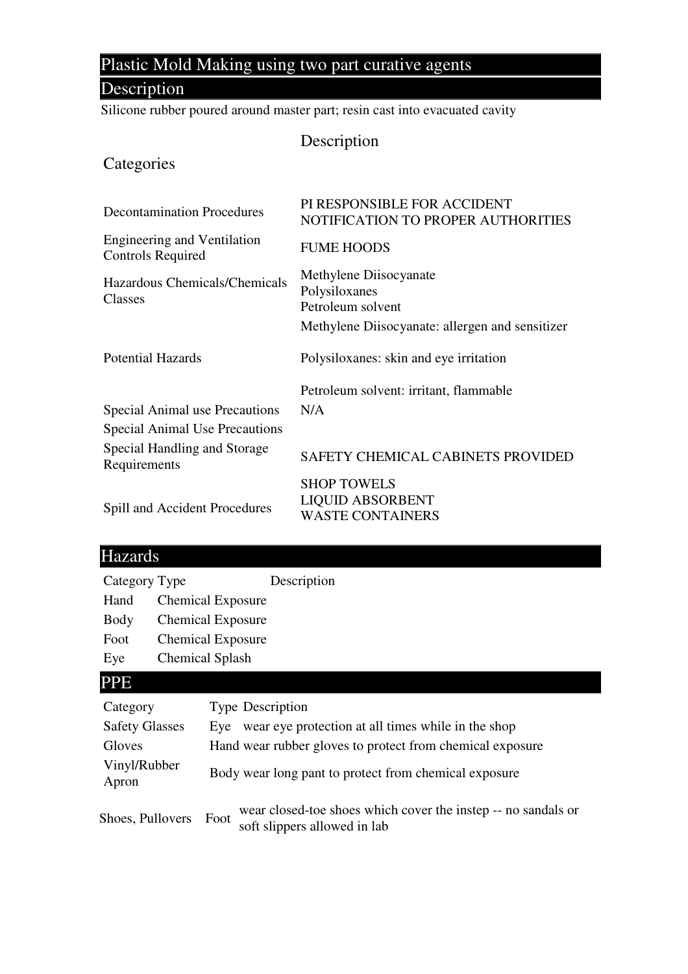## Plastic Mold Making using two part curative agents

### **Description**

Silicone rubber poured around master part; resin cast into evacuated cavity

#### Description

#### **Categories**

| <b>Decontamination Procedures</b>                              | PI RESPONSIBLE FOR ACCIDENT<br>NOTIFICATION TO PROPER AUTHORITIES        |
|----------------------------------------------------------------|--------------------------------------------------------------------------|
| <b>Engineering and Ventilation</b><br><b>Controls Required</b> | <b>FUME HOODS</b>                                                        |
| Hazardous Chemicals/Chemicals<br>Classes                       | Methylene Diisocyanate<br>Polysiloxanes<br>Petroleum solvent             |
|                                                                | Methylene Diisocyanate: allergen and sensitizer                          |
| <b>Potential Hazards</b>                                       | Polysiloxanes: skin and eye irritation                                   |
|                                                                | Petroleum solvent: irritant, flammable                                   |
| Special Animal use Precautions                                 | N/A                                                                      |
| Special Animal Use Precautions                                 |                                                                          |
| Special Handling and Storage<br>Requirements                   | SAFETY CHEMICAL CABINETS PROVIDED                                        |
| Spill and Accident Procedures                                  | <b>SHOP TOWELS</b><br><b>LIQUID ABSORBENT</b><br><b>WASTE CONTAINERS</b> |

### Hazards

Category Type Description

Hand Chemical Exposure

Body Chemical Exposure

Foot Chemical Exposure

Eye Chemical Splash

#### PPE

| Category              | <b>Type Description</b>                                                                               |
|-----------------------|-------------------------------------------------------------------------------------------------------|
| <b>Safety Glasses</b> | wear eye protection at all times while in the shop<br>Eve                                             |
| Gloves                | Hand wear rubber gloves to protect from chemical exposure                                             |
| Vinyl/Rubber<br>Apron | Body wear long pant to protect from chemical exposure                                                 |
| Shoes, Pullovers      | wear closed-toe shoes which cover the instep -- no sandals or<br>Foot<br>soft slippers allowed in lab |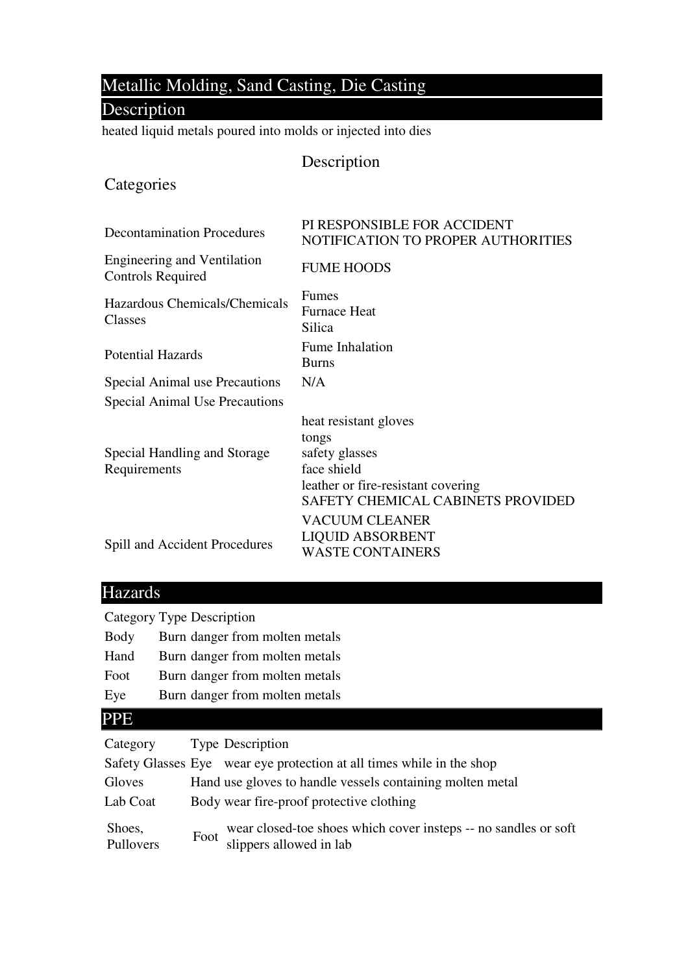## Metallic Molding, Sand Casting, Die Casting

#### Description

heated liquid metals poured into molds or injected into dies

#### Description

#### **Categories**

| <b>Decontamination Procedures</b>                              | PI RESPONSIBLE FOR ACCIDENT<br>NOTIFICATION TO PROPER AUTHORITIES                                                                                 |
|----------------------------------------------------------------|---------------------------------------------------------------------------------------------------------------------------------------------------|
| <b>Engineering and Ventilation</b><br><b>Controls Required</b> | <b>FUME HOODS</b>                                                                                                                                 |
| Hazardous Chemicals/Chemicals<br>Classes                       | Fumes<br><b>Furnace Heat</b><br>Silica                                                                                                            |
| <b>Potential Hazards</b>                                       | Fume Inhalation<br><b>Burns</b>                                                                                                                   |
| Special Animal use Precautions                                 | N/A                                                                                                                                               |
| <b>Special Animal Use Precautions</b>                          |                                                                                                                                                   |
| Special Handling and Storage<br>Requirements                   | heat resistant gloves<br>tongs<br>safety glasses<br>face shield<br>leather or fire-resistant covering<br><b>SAFETY CHEMICAL CABINETS PROVIDED</b> |
| Spill and Accident Procedures                                  | <b>VACUUM CLEANER</b><br><b>LIQUID ABSORBENT</b><br><b>WASTE CONTAINERS</b>                                                                       |

### Hazards

Category Type Description

| Body |  | Burn danger from molten metals |  |  |
|------|--|--------------------------------|--|--|
|------|--|--------------------------------|--|--|

- Hand Burn danger from molten metals
- Foot Burn danger from molten metals
- Eye Burn danger from molten metals

### PPE

| Category Type Description |                                                                                                 |
|---------------------------|-------------------------------------------------------------------------------------------------|
|                           | Safety Glasses Eye wear eye protection at all times while in the shop                           |
| Gloves                    | Hand use gloves to handle vessels containing molten metal                                       |
| Lab Coat                  | Body wear fire-proof protective clothing                                                        |
| Shoes,<br>Pullovers       | Foot wear closed-toe shoes which cover insteps -- no sandles or soft<br>slippers allowed in lab |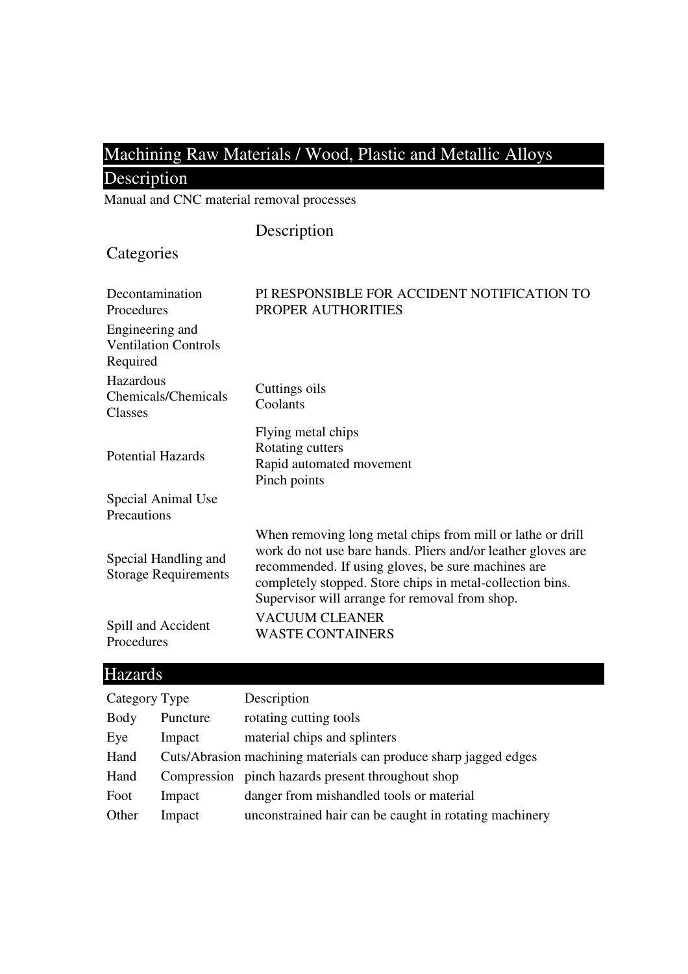## Machining Raw Materials / Wood, Plastic and Metallic Alloys

## Description

Manual and CNC material removal processes

### Description

## **Categories**

| Decontamination<br>Procedures                              | PI RESPONSIBLE FOR ACCIDENT NOTIFICATION TO<br>PROPER AUTHORITIES                                                                                                                                                                                                                               |
|------------------------------------------------------------|-------------------------------------------------------------------------------------------------------------------------------------------------------------------------------------------------------------------------------------------------------------------------------------------------|
| Engineering and<br><b>Ventilation Controls</b><br>Required |                                                                                                                                                                                                                                                                                                 |
| Hazardous<br>Chemicals/Chemicals<br>Classes                | Cuttings oils<br>Coolants                                                                                                                                                                                                                                                                       |
| <b>Potential Hazards</b>                                   | Flying metal chips<br>Rotating cutters<br>Rapid automated movement<br>Pinch points                                                                                                                                                                                                              |
| Special Animal Use<br>Precautions                          |                                                                                                                                                                                                                                                                                                 |
| Special Handling and<br><b>Storage Requirements</b>        | When removing long metal chips from mill or lathe or drill<br>work do not use bare hands. Pliers and/or leather gloves are<br>recommended. If using gloves, be sure machines are<br>completely stopped. Store chips in metal-collection bins.<br>Supervisor will arrange for removal from shop. |
| Spill and Accident<br>Procedures                           | <b>VACUUM CLEANER</b><br><b>WASTE CONTAINERS</b>                                                                                                                                                                                                                                                |

## Hazards

| Category Type |          | Description                                                      |
|---------------|----------|------------------------------------------------------------------|
| Body          | Puncture | rotating cutting tools                                           |
| Eye           | Impact   | material chips and splinters                                     |
| Hand          |          | Cuts/Abrasion machining materials can produce sharp jagged edges |
| Hand          |          | Compression pinch hazards present throughout shop                |
| Foot          | Impact   | danger from mishandled tools or material                         |
| Other         | Impact   | unconstrained hair can be caught in rotating machinery           |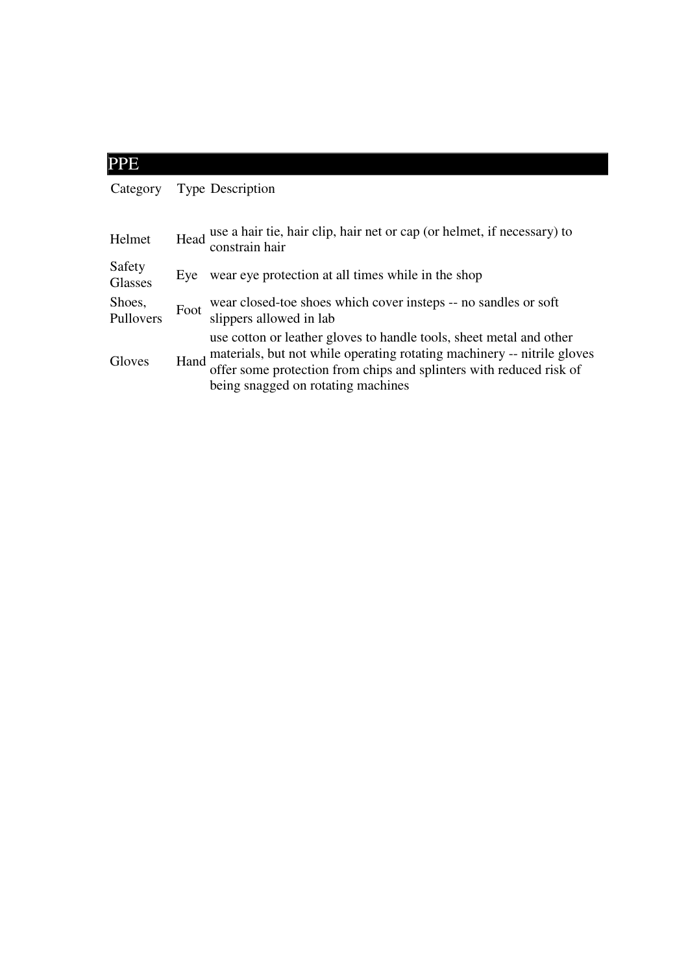| <b>PPE</b>          |      |                                                                                                                                                                                                                                                             |
|---------------------|------|-------------------------------------------------------------------------------------------------------------------------------------------------------------------------------------------------------------------------------------------------------------|
| Category            |      | <b>Type Description</b>                                                                                                                                                                                                                                     |
| Helmet              |      | Head use a hair tie, hair clip, hair net or cap (or helmet, if necessary) to<br>constrain hair                                                                                                                                                              |
| Safety<br>Glasses   | Eye  | wear eye protection at all times while in the shop                                                                                                                                                                                                          |
| Shoes,<br>Pullovers | Foot | wear closed-toe shoes which cover insteps -- no sandles or soft<br>slippers allowed in lab                                                                                                                                                                  |
| Gloves              | Hand | use cotton or leather gloves to handle tools, sheet metal and other<br>materials, but not while operating rotating machinery -- nitrile gloves<br>offer some protection from chips and splinters with reduced risk of<br>being snagged on rotating machines |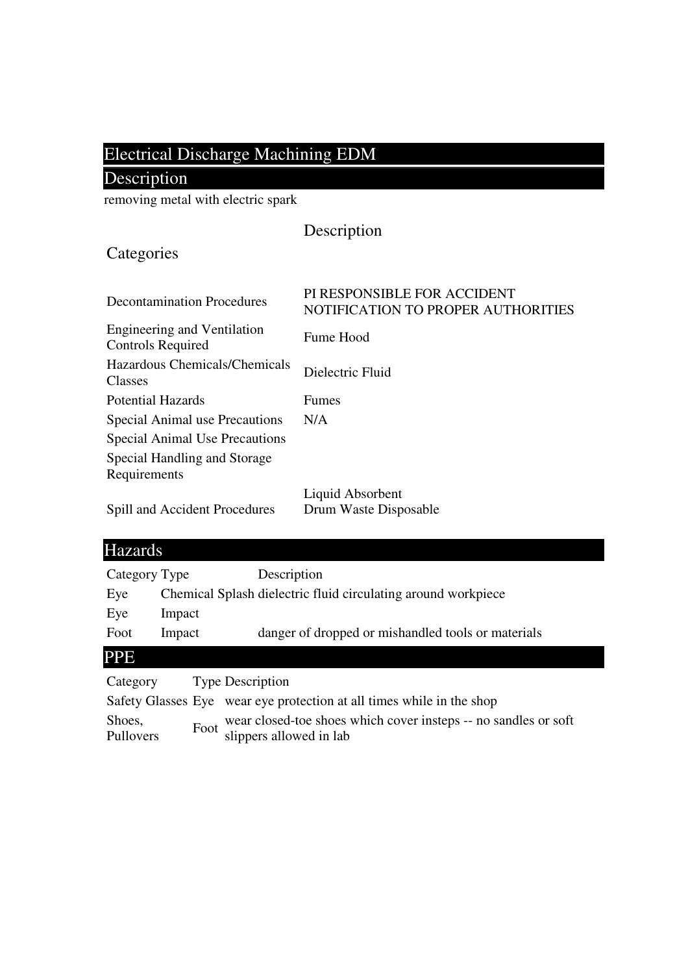## Electrical Discharge Machining EDM

## Description

removing metal with electric spark

|  | Description |
|--|-------------|
|  |             |

## **Categories**

| <b>Decontamination Procedures</b>                              | PI RESPONSIBLE FOR ACCIDENT<br>NOTIFICATION TO PROPER AUTHORITIES |
|----------------------------------------------------------------|-------------------------------------------------------------------|
| <b>Engineering and Ventilation</b><br><b>Controls Required</b> | Fume Hood                                                         |
| Hazardous Chemicals/Chemicals<br>Classes                       | Dielectric Fluid                                                  |
| <b>Potential Hazards</b>                                       | <b>Fumes</b>                                                      |
| Special Animal use Precautions                                 | N/A                                                               |
| <b>Special Animal Use Precautions</b>                          |                                                                   |
| Special Handling and Storage<br>Requirements                   |                                                                   |
| Spill and Accident Procedures                                  | Liquid Absorbent<br>Drum Waste Disposable                         |

## Hazards

| Category Type |                         | Description                                                   |
|---------------|-------------------------|---------------------------------------------------------------|
| Eye           |                         | Chemical Splash dielectric fluid circulating around workpiece |
| Eye           | Impact                  |                                                               |
| Foot          | Impact                  | danger of dropped or mishandled tools or materials            |
| <b>PPE</b>    |                         |                                                               |
| Category      | <b>Type Description</b> |                                                               |

|           | Safety Glasses Eye wear eye protection at all times while in the shop |
|-----------|-----------------------------------------------------------------------|
| Shoes,    | wear closed-toe shoes which cover insteps -- no sandles or soft       |
| Pullovers | Foot wear closed-toe shoes v<br>slippers allowed in lab               |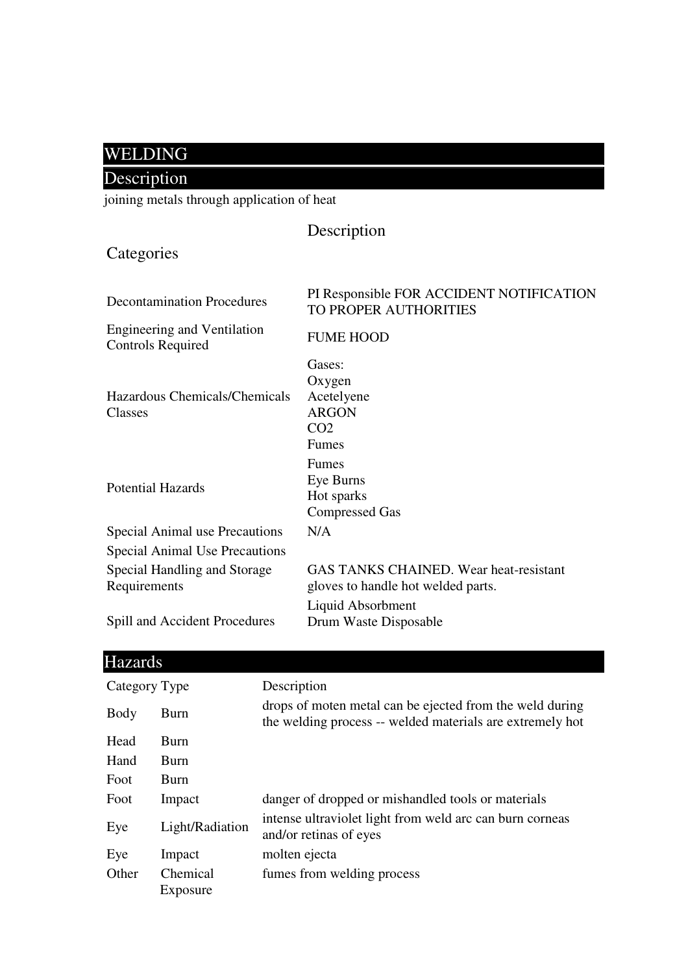## WELDING

## Description

joining metals through application of heat

|                                                                | Description                                                                         |
|----------------------------------------------------------------|-------------------------------------------------------------------------------------|
| Categories                                                     |                                                                                     |
| <b>Decontamination Procedures</b>                              | PI Responsible FOR ACCIDENT NOTIFICATION<br>TO PROPER AUTHORITIES                   |
| <b>Engineering and Ventilation</b><br><b>Controls Required</b> | <b>FUME HOOD</b>                                                                    |
| Hazardous Chemicals/Chemicals<br>Classes                       | Gases:<br>Oxygen<br>Acetelyene<br><b>ARGON</b><br>CO <sub>2</sub><br><b>Fumes</b>   |
| <b>Potential Hazards</b>                                       | Fumes<br>Eye Burns<br>Hot sparks<br><b>Compressed Gas</b>                           |
| <b>Special Animal use Precautions</b>                          | N/A                                                                                 |
| <b>Special Animal Use Precautions</b>                          |                                                                                     |
| Special Handling and Storage<br>Requirements                   | <b>GAS TANKS CHAINED. Wear heat-resistant</b><br>gloves to handle hot welded parts. |
| Spill and Accident Procedures                                  | Liquid Absorbment<br>Drum Waste Disposable                                          |

| ш |         |  |
|---|---------|--|
|   | Hazards |  |
|   |         |  |

| Category Type |                      | Description                                                                                                           |
|---------------|----------------------|-----------------------------------------------------------------------------------------------------------------------|
| Body          | Burn                 | drops of moten metal can be ejected from the weld during<br>the welding process -- welded materials are extremely hot |
| Head          | <b>Burn</b>          |                                                                                                                       |
| Hand          | <b>Burn</b>          |                                                                                                                       |
| Foot          | <b>Burn</b>          |                                                                                                                       |
| Foot          | Impact               | danger of dropped or mishandled tools or materials                                                                    |
| Eye           | Light/Radiation      | intense ultraviolet light from weld arc can burn corneas<br>and/or retinas of eyes                                    |
| Eye           | Impact               | molten ejecta                                                                                                         |
| Other         | Chemical<br>Exposure | fumes from welding process                                                                                            |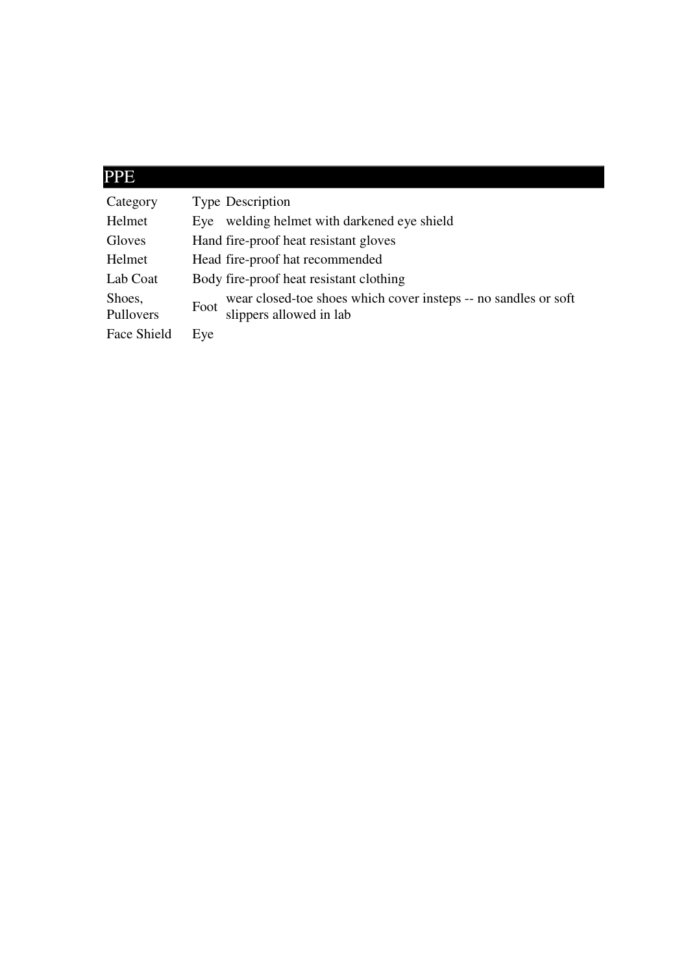## PPE

| Category            | <b>Type Description</b>                                                                            |
|---------------------|----------------------------------------------------------------------------------------------------|
| Helmet              | welding helmet with darkened eye shield<br>Eve                                                     |
| Gloves              | Hand fire-proof heat resistant gloves                                                              |
| Helmet              | Head fire-proof hat recommended                                                                    |
| Lab Coat            | Body fire-proof heat resistant clothing                                                            |
| Shoes,<br>Pullovers | wear closed-toe shoes which cover insteps -- no sandles or soft<br>Foot<br>slippers allowed in lab |
| Face Shield         | Eye                                                                                                |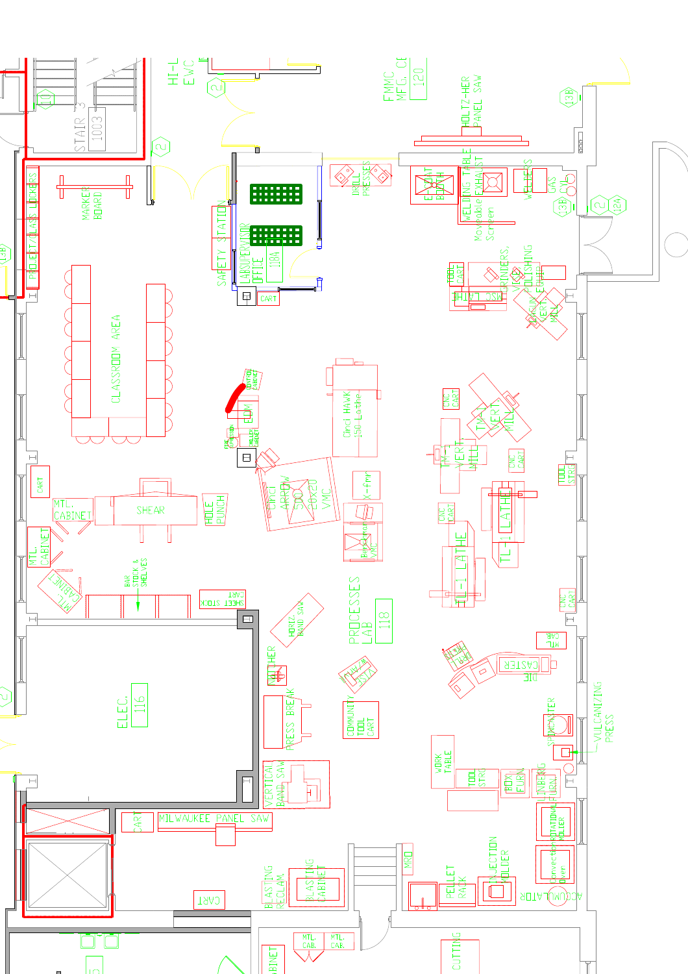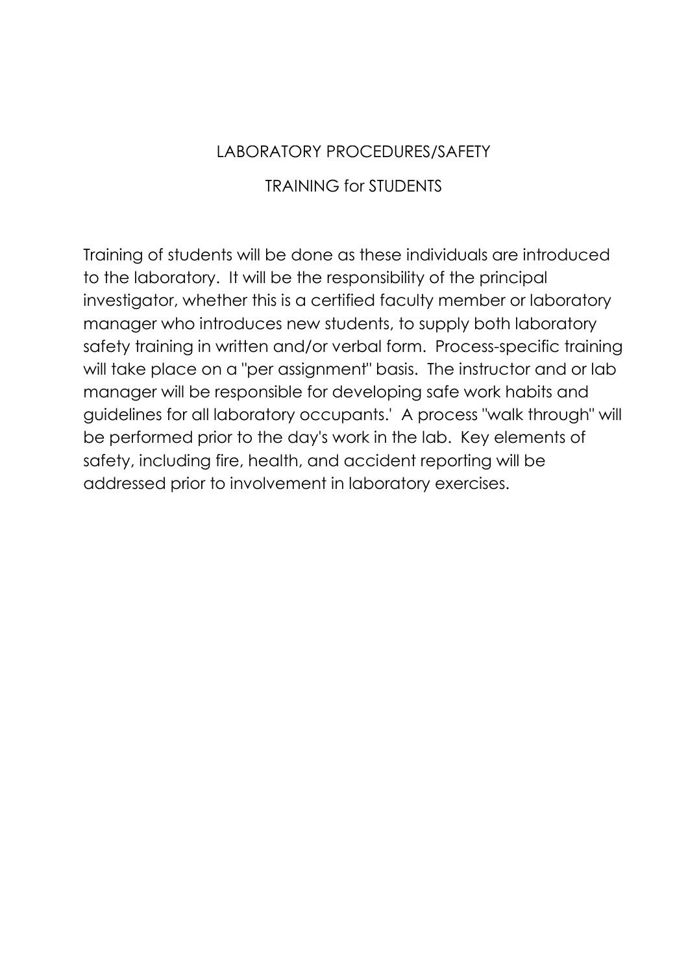#### LABORATORY PROCEDURES/SAFETY

#### TRAINING for STUDENTS

Training of students will be done as these individuals are introduced to the laboratory. It will be the responsibility of the principal investigator, whether this is a certified faculty member or laboratory manager who introduces new students, to supply both laboratory safety training in written and/or verbal form. Process-specific training will take place on a "per assignment" basis. The instructor and or lab manager will be responsible for developing safe work habits and guidelines for all laboratory occupants.' A process "walk through" will be performed prior to the day's work in the lab. Key elements of safety, including fire, health, and accident reporting will be addressed prior to involvement in laboratory exercises.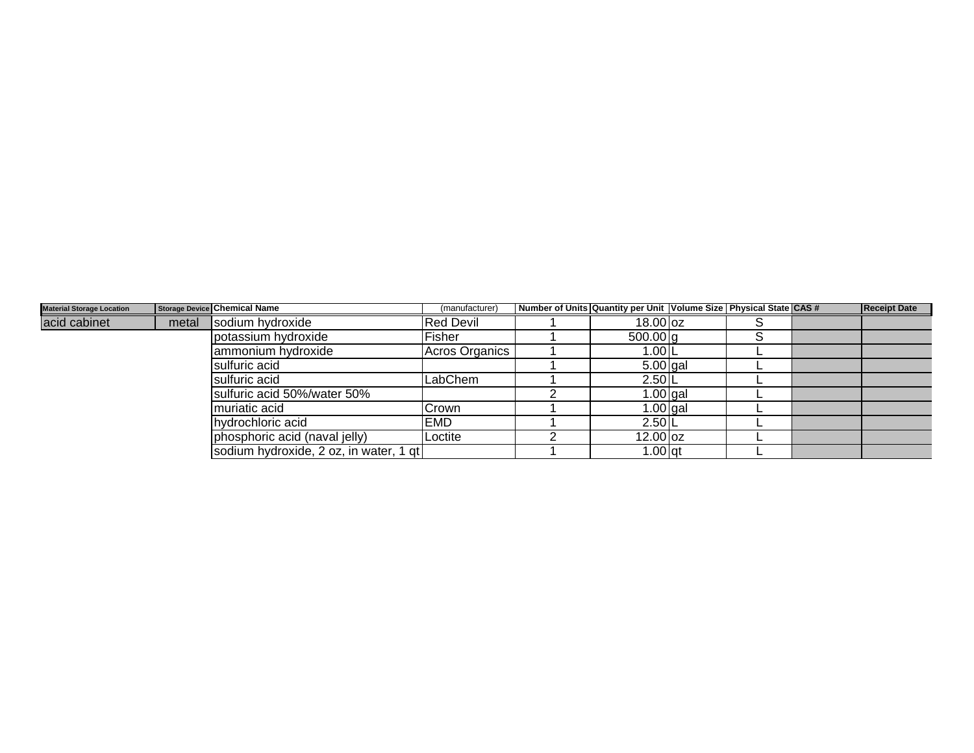| <b>Material Storage Location</b> |       | Storage Device Chemical Name           | (manufacturer)   | Number of Units Quantity per Unit   Volume Size   Physical State CAS # |  | <b>Receipt Date</b> |
|----------------------------------|-------|----------------------------------------|------------------|------------------------------------------------------------------------|--|---------------------|
| acid cabinet                     | metal | sodium hydroxide                       | <b>Red Devil</b> | $18.00$ oz                                                             |  |                     |
|                                  |       | potassium hydroxide                    | Fisher           | 500.00 q                                                               |  |                     |
|                                  |       | lammonium hydroxide                    | Acros Organics   | 1.00 L                                                                 |  |                     |
|                                  |       | sulfuric acid                          |                  | $5.00$ gal                                                             |  |                     |
|                                  |       | sulfuric acid                          | LabChem          | $2.50$  L                                                              |  |                     |
|                                  |       | sulfuric acid 50%/water 50%            |                  | $1.00$ gal                                                             |  |                     |
|                                  |       | muriatic acid                          | Crown            | $1.00$ gal                                                             |  |                     |
|                                  |       | hydrochloric acid                      | <b>EMD</b>       | $2.50$ <sup>L</sup>                                                    |  |                     |
|                                  |       | phosphoric acid (naval jelly)          | Loctite          | $12.00$ oz                                                             |  |                     |
|                                  |       | sodium hydroxide, 2 oz, in water, 1 gt |                  | $1.00$ gt                                                              |  |                     |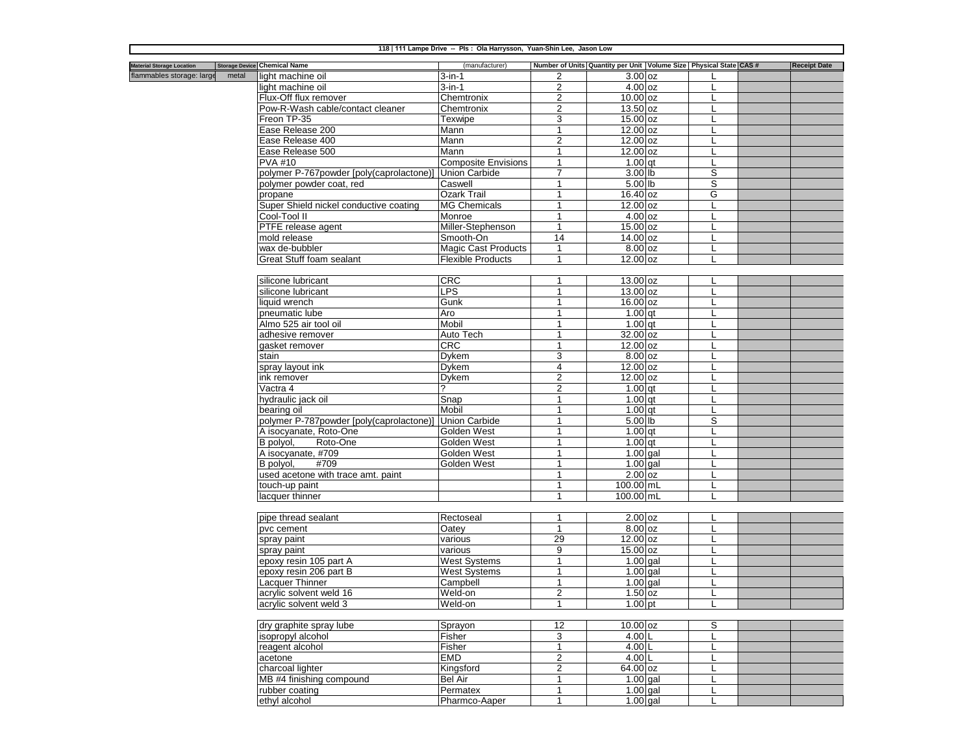| 118   111 Lampe Drive -- Pls : Ola Harrysson, Yuan-Shin Lee, Jason Low |       |                                          |                             |                                |                    |                                                                        |  |                     |
|------------------------------------------------------------------------|-------|------------------------------------------|-----------------------------|--------------------------------|--------------------|------------------------------------------------------------------------|--|---------------------|
| <b>Material Storage Location</b>                                       |       | <b>Storage Device Chemical Name</b>      | (manufacturer)              |                                |                    | Number of Units Quantity per Unit   Volume Size   Physical State CAS # |  | <b>Receipt Date</b> |
| flammables storage: large                                              | metal | light machine oil                        | $3$ -in-1                   | 2                              | $3.00$ oz          |                                                                        |  |                     |
|                                                                        |       | light machine oil                        | $3$ -in-1                   | $\overline{c}$                 | 4.00 <sub>oz</sub> |                                                                        |  |                     |
|                                                                        |       | Flux-Off flux remover                    | Chemtronix                  | 2                              | $10.00$ oz         |                                                                        |  |                     |
|                                                                        |       | Pow-R-Wash cable/contact cleaner         | Chemtronix                  | $\overline{2}$                 | $13.50$ oz         |                                                                        |  |                     |
|                                                                        |       | Freon TP-35                              | Texwipe                     | 3                              | $15.00$ oz         |                                                                        |  |                     |
|                                                                        |       | Ease Release 200                         | Mann                        | $\mathbf{1}$                   | $12.00$ $oz$       |                                                                        |  |                     |
|                                                                        |       | Ease Release 400                         | Mann                        | $\overline{2}$                 | $12.00$ oz         |                                                                        |  |                     |
|                                                                        |       | Ease Release 500                         | Mann                        | 1                              | 12.00 oz           |                                                                        |  |                     |
|                                                                        |       | <b>PVA #10</b>                           | <b>Composite Envisions</b>  | 1                              | $1.00$ gt          |                                                                        |  |                     |
|                                                                        |       | polymer P-767powder [poly(caprolactone)] | <b>Union Carbide</b>        | $\overline{7}$                 | 3.00 lb            | S                                                                      |  |                     |
|                                                                        |       | polymer powder coat, red                 | Caswell                     | 1                              | 5.00 lb            | S                                                                      |  |                     |
|                                                                        |       | propane                                  | Ozark Trail                 | $\mathbf{1}$                   | 16.40 oz           | G                                                                      |  |                     |
|                                                                        |       | Super Shield nickel conductive coating   | <b>MG Chemicals</b>         |                                | 12.00 oz           |                                                                        |  |                     |
|                                                                        |       | Cool-Tool II                             | Monroe                      |                                | $4.00$ oz          |                                                                        |  |                     |
|                                                                        |       | PTFE release agent                       | Miller-Stephenson           |                                | $15.00$ oz         |                                                                        |  |                     |
|                                                                        |       | mold release                             | Smooth-On                   | 14                             | 14.00 oz           |                                                                        |  |                     |
|                                                                        |       | wax de-bubbler                           | <b>Magic Cast Products</b>  | $\mathbf{1}$                   | 8.00 oz            |                                                                        |  |                     |
|                                                                        |       | Great Stuff foam sealant                 | <b>Flexible Products</b>    | $\mathbf{1}$                   | $12.00$ oz         |                                                                        |  |                     |
|                                                                        |       |                                          |                             |                                |                    |                                                                        |  |                     |
|                                                                        |       | silicone lubricant                       | CRC                         | 1                              | 13.00 oz           |                                                                        |  |                     |
|                                                                        |       | silicone lubricant                       | LPS                         | $\mathbf{1}$                   | $13.00$ oz         |                                                                        |  |                     |
|                                                                        |       | liquid wrench                            | Gunk                        | 1                              | 16.00 oz           |                                                                        |  |                     |
|                                                                        |       | pneumatic lube                           | Aro                         | $\mathbf{1}$                   | $1.00$ at          | L                                                                      |  |                     |
|                                                                        |       | Almo 525 air tool oil                    | Mobil                       | 1                              | $1.00$ qt          |                                                                        |  |                     |
|                                                                        |       | adhesive remover                         | Auto Tech                   | 1                              | 32.00 oz           |                                                                        |  |                     |
|                                                                        |       | gasket remover                           | <b>CRC</b>                  |                                | 12.00 oz           |                                                                        |  |                     |
|                                                                        |       | stain                                    | Dykem                       | 3                              | $8.00$ oz          |                                                                        |  |                     |
|                                                                        |       | spray layout ink                         | Dykem                       | 4                              | 12.00 oz           |                                                                        |  |                     |
|                                                                        |       | ink remover                              | Dykem                       | $\overline{2}$                 | $12.00$ oz         |                                                                        |  |                     |
|                                                                        |       | Vactra 4                                 |                             | 2                              | $1.00$ at          |                                                                        |  |                     |
|                                                                        |       | hydraulic jack oil                       | $\overline{\mathsf{S}}$ nap | 1                              | $1.00$ qt          |                                                                        |  |                     |
|                                                                        |       | bearing oil                              | Mobil                       | $\mathbf{1}$                   | $1.00$ at          |                                                                        |  |                     |
|                                                                        |       | polymer P-787powder [poly(caprolactone)] | <b>Union Carbide</b>        | 1                              | 5.00 lb            | S                                                                      |  |                     |
|                                                                        |       | A isocyanate, Roto-One                   | Golden West                 | $\mathbf{1}$                   | $1.00$ at          |                                                                        |  |                     |
|                                                                        |       | B polyol,<br>Roto-One                    | Golden West                 | 1                              | $1.00$ qt          |                                                                        |  |                     |
|                                                                        |       | A isocyanate, #709                       | Golden West                 | $\mathbf{1}$                   | $1.00$ gal         |                                                                        |  |                     |
|                                                                        |       | B polyol,<br>#709                        | Golden West                 |                                | 1.00 gal           |                                                                        |  |                     |
|                                                                        |       | used acetone with trace amt. paint       |                             |                                | 2.00 <sub>oz</sub> |                                                                        |  |                     |
|                                                                        |       | touch-up paint                           |                             |                                | 100.00 mL          |                                                                        |  |                     |
|                                                                        |       | lacquer thinner                          |                             |                                | 100.00 mL          |                                                                        |  |                     |
|                                                                        |       |                                          |                             |                                |                    |                                                                        |  |                     |
|                                                                        |       | pipe thread sealant                      | Rectoseal                   | $\mathbf{1}$                   | $2.00$ oz          |                                                                        |  |                     |
|                                                                        |       | pvc cement                               | Oatey                       | $\mathbf{1}$                   | 8.00 oz            | L                                                                      |  |                     |
|                                                                        |       | spray paint                              | various                     | 29                             | 12.00 oz           |                                                                        |  |                     |
|                                                                        |       | spray paint                              | various                     | 9                              | $15.00$ $oz$       |                                                                        |  |                     |
|                                                                        |       | epoxy resin 105 part A                   | <b>West Systems</b>         | 1                              | $1.00$ gal         |                                                                        |  |                     |
|                                                                        |       | epoxy resin 206 part B                   | <b>West Systems</b>         | $\mathbf{1}$                   | $1.00$ gal         |                                                                        |  |                     |
|                                                                        |       | Lacquer Thinner                          | Campbell                    | $\mathbf{1}$<br>$\overline{2}$ | $1.00$ gal         | L                                                                      |  |                     |
|                                                                        |       | acrylic solvent weld 16                  | Weld-on<br>Weld-on          | 1                              | $1.50$ oz          |                                                                        |  |                     |
|                                                                        |       | acrylic solvent weld 3                   |                             |                                | $1.00$ pt          |                                                                        |  |                     |
|                                                                        |       | dry graphite spray lube                  | Sprayon                     | 12                             | $10.00$ oz         | S                                                                      |  |                     |
|                                                                        |       | isopropyl alcohol                        | Fisher                      | 3                              | $4.00$ L           |                                                                        |  |                     |
|                                                                        |       | reagent alcohol                          | Fisher                      | $\mathbf{1}$                   | 4.00 L             |                                                                        |  |                     |
|                                                                        |       | acetone                                  | <b>EMD</b>                  | $\overline{c}$                 | $4.00$ L           |                                                                        |  |                     |
|                                                                        |       | charcoal lighter                         | Kingsford                   | $\overline{2}$                 | 64.00 oz           |                                                                        |  |                     |
|                                                                        |       | MB #4 finishing compound                 | Bel Air                     | $\mathbf{1}$                   | $1.00$ gal         |                                                                        |  |                     |
|                                                                        |       | rubber coating                           | Permatex                    | $\mathbf{1}$                   | $1.00$ gal         |                                                                        |  |                     |
|                                                                        |       | ethyl alcohol                            | Pharmco-Aaper               | 1                              | $1.00$ gal         |                                                                        |  |                     |
|                                                                        |       |                                          |                             |                                |                    |                                                                        |  |                     |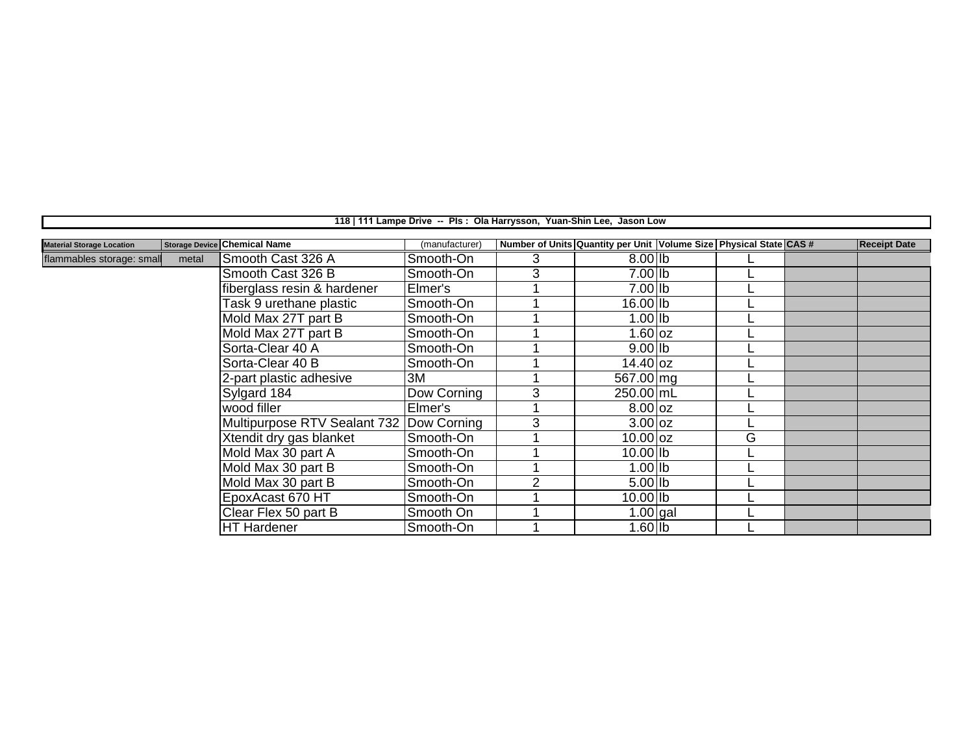|                                  |       |                                     | 118   111 Lampe Drive -- Pls : Ola Harrysson, Yuan-Shin Lee, Jason Low |   |                                                                        |   |                     |
|----------------------------------|-------|-------------------------------------|------------------------------------------------------------------------|---|------------------------------------------------------------------------|---|---------------------|
|                                  |       |                                     |                                                                        |   |                                                                        |   |                     |
| <b>Material Storage Location</b> |       | <b>Storage Device Chemical Name</b> | (manufacturer)                                                         |   | Number of Units Quantity per Unit   Volume Size   Physical State CAS # |   | <b>Receipt Date</b> |
| flammables storage: small        | metal | Smooth Cast 326 A                   | Smooth-On                                                              | 3 | $8.00$ lb                                                              |   |                     |
|                                  |       | Smooth Cast 326 B                   | Smooth-On                                                              | 3 | 7.00 lb                                                                |   |                     |
|                                  |       | fiberglass resin & hardener         | Elmer's                                                                |   | $7.00$ lb                                                              |   |                     |
|                                  |       | Task 9 urethane plastic             | Smooth-On                                                              |   | 16.00 lb                                                               |   |                     |
|                                  |       | Mold Max 27T part B                 | Smooth-On                                                              |   | 1.00 lb                                                                |   |                     |
|                                  |       | Mold Max 27T part B                 | Smooth-On                                                              |   | $1.60$ oz                                                              |   |                     |
|                                  |       | Sorta-Clear 40 A                    | Smooth-On                                                              |   | $9.00$ lb                                                              |   |                     |
|                                  |       | Sorta-Clear 40 B                    | Smooth-On                                                              |   | $14.40$ oz                                                             |   |                     |
|                                  |       | 2-part plastic adhesive             | 3M                                                                     |   | 567.00 mg                                                              |   |                     |
|                                  |       | Sylgard 184                         | Dow Corning                                                            | 3 | 250.00 mL                                                              |   |                     |
|                                  |       | wood filler                         | Elmer's                                                                |   | $8.00$ oz                                                              |   |                     |
|                                  |       | Multipurpose RTV Sealant 732        | Dow Corning                                                            | 3 | $3.00$ oz                                                              |   |                     |
|                                  |       | Xtendit dry gas blanket             | Smooth-On                                                              |   | $10.00$ oz                                                             | G |                     |
|                                  |       | Mold Max 30 part A                  | Smooth-On                                                              |   | $10.00$ lb                                                             |   |                     |
|                                  |       | Mold Max 30 part B                  | Smooth-On                                                              |   | $1.00$ lb                                                              |   |                     |
|                                  |       | Mold Max 30 part B                  | Smooth-On                                                              | ົ | $5.00$ lb                                                              |   |                     |
|                                  |       | EpoxAcast 670 HT                    | Smooth-On                                                              |   | $10.00$ Ib                                                             |   |                     |
|                                  |       | Clear Flex 50 part B                | Smooth On                                                              |   | $1.00$ gal                                                             |   |                     |
|                                  |       | HT Hardener                         | Smooth-On                                                              |   | $1.60$ Ib                                                              |   |                     |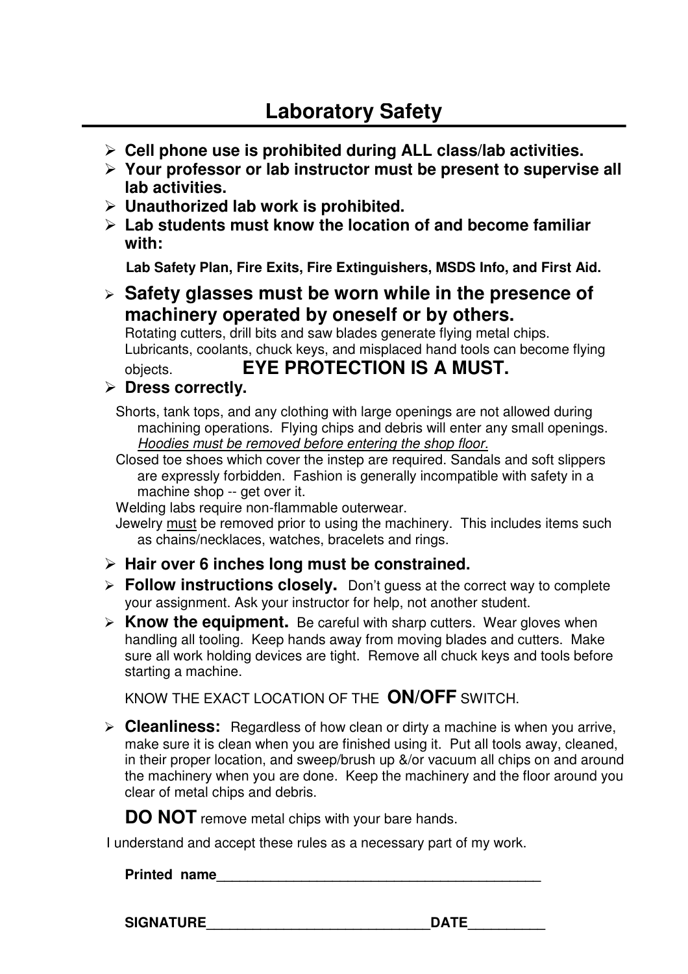- **Cell phone use is prohibited during ALL class/lab activities.**
- **Your professor or lab instructor must be present to supervise all lab activities.**
- **Unauthorized lab work is prohibited.**
- **Lab students must know the location of and become familiar with:**

**Lab Safety Plan, Fire Exits, Fire Extinguishers, MSDS Info, and First Aid.**

 **Safety glasses must be worn while in the presence of machinery operated by oneself or by others.**

Rotating cutters, drill bits and saw blades generate flying metal chips. Lubricants, coolants, chuck keys, and misplaced hand tools can become flying

objects. **EYE PROTECTION IS A MUST.**

#### **Dress correctly.**

Shorts, tank tops, and any clothing with large openings are not allowed during machining operations. Flying chips and debris will enter any small openings. Hoodies must be removed before entering the shop floor.

Closed toe shoes which cover the instep are required. Sandals and soft slippers are expressly forbidden. Fashion is generally incompatible with safety in a machine shop -- get over it.

Welding labs require non-flammable outerwear.

- Jewelry must be removed prior to using the machinery. This includes items such as chains/necklaces, watches, bracelets and rings.
- **Hair over 6 inches long must be constrained.**
- **Follow instructions closely.** Don't guess at the correct way to complete your assignment. Ask your instructor for help, not another student.
- **Know the equipment.** Be careful with sharp cutters. Wear gloves when handling all tooling. Keep hands away from moving blades and cutters. Make sure all work holding devices are tight. Remove all chuck keys and tools before starting a machine.

KNOW THE EXACT LOCATION OF THE **ON/OFF** SWITCH.

**Cleanliness:** Regardless of how clean or dirty a machine is when you arrive, make sure it is clean when you are finished using it. Put all tools away, cleaned, in their proper location, and sweep/brush up &/or vacuum all chips on and around the machinery when you are done.Keep the machinery and the floor around you clear of metal chips and debris.

**DO NOT** remove metal chips with your bare hands.

I understand and accept these rules as a necessary part of my work.

**Printed name** 

**SIGNATURE LOCAL DATE DATE**